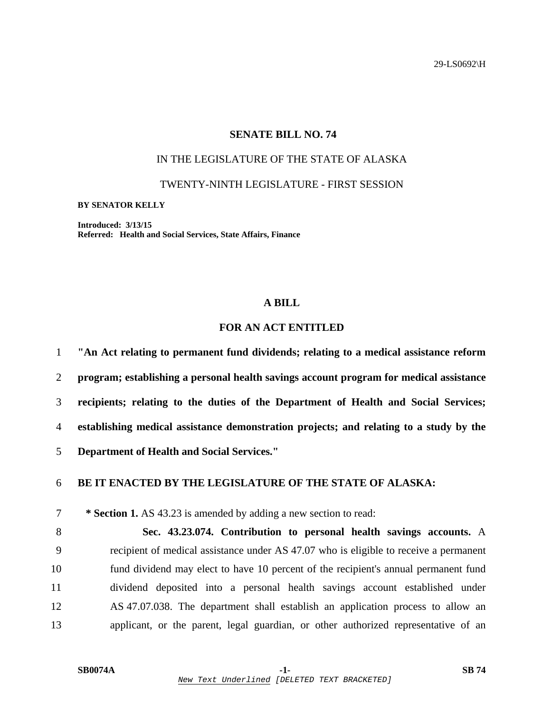29-LS0692\H

### **SENATE BILL NO. 74**

### IN THE LEGISLATURE OF THE STATE OF ALASKA

TWENTY-NINTH LEGISLATURE - FIRST SESSION

**BY SENATOR KELLY** 

**Introduced: 3/13/15 Referred: Health and Social Services, State Affairs, Finance** 

#### **A BILL**

# **FOR AN ACT ENTITLED**

**"An Act relating to permanent fund dividends; relating to a medical assistance reform program; establishing a personal health savings account program for medical assistance recipients; relating to the duties of the Department of Health and Social Services; establishing medical assistance demonstration projects; and relating to a study by the Department of Health and Social Services."** 

## 6 **BE IT ENACTED BY THE LEGISLATURE OF THE STATE OF ALASKA:**

7 **\* Section 1.** AS 43.23 is amended by adding a new section to read:

8 **Sec. 43.23.074. Contribution to personal health savings accounts.** A 9 recipient of medical assistance under AS 47.07 who is eligible to receive a permanent 10 fund dividend may elect to have 10 percent of the recipient's annual permanent fund 11 dividend deposited into a personal health savings account established under 12 AS 47.07.038. The department shall establish an application process to allow an 13 applicant, or the parent, legal guardian, or other authorized representative of an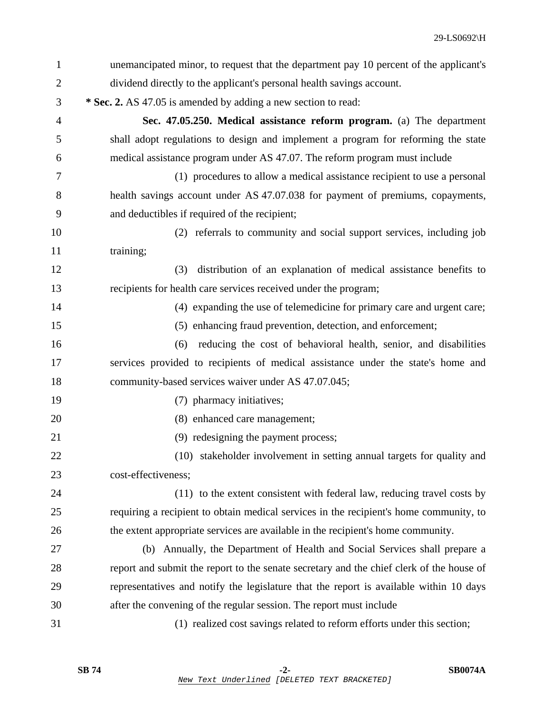| $\mathbf{1}$   | unemancipated minor, to request that the department pay 10 percent of the applicant's    |
|----------------|------------------------------------------------------------------------------------------|
| $\overline{2}$ | dividend directly to the applicant's personal health savings account.                    |
| 3              | * Sec. 2. AS 47.05 is amended by adding a new section to read:                           |
| 4              | Sec. 47.05.250. Medical assistance reform program. (a) The department                    |
| 5              | shall adopt regulations to design and implement a program for reforming the state        |
| 6              | medical assistance program under AS 47.07. The reform program must include               |
| 7              | (1) procedures to allow a medical assistance recipient to use a personal                 |
| 8              | health savings account under AS 47.07.038 for payment of premiums, copayments,           |
| 9              | and deductibles if required of the recipient;                                            |
| 10             | (2) referrals to community and social support services, including job                    |
| 11             | training;                                                                                |
| 12             | distribution of an explanation of medical assistance benefits to<br>(3)                  |
| 13             | recipients for health care services received under the program;                          |
| 14             | (4) expanding the use of telemedicine for primary care and urgent care;                  |
| 15             | (5) enhancing fraud prevention, detection, and enforcement;                              |
| 16             | reducing the cost of behavioral health, senior, and disabilities<br>(6)                  |
| 17             | services provided to recipients of medical assistance under the state's home and         |
| 18             | community-based services waiver under AS 47.07.045;                                      |
| 19             | (7) pharmacy initiatives;                                                                |
| 20             | (8) enhanced care management;                                                            |
| 21             | (9) redesigning the payment process;                                                     |
| 22             | (10) stakeholder involvement in setting annual targets for quality and                   |
| 23             | cost-effectiveness;                                                                      |
| 24             | (11) to the extent consistent with federal law, reducing travel costs by                 |
| 25             | requiring a recipient to obtain medical services in the recipient's home community, to   |
| 26             | the extent appropriate services are available in the recipient's home community.         |
| 27             | (b) Annually, the Department of Health and Social Services shall prepare a               |
| 28             | report and submit the report to the senate secretary and the chief clerk of the house of |
| 29             | representatives and notify the legislature that the report is available within 10 days   |
| 30             | after the convening of the regular session. The report must include                      |
| 31             | (1) realized cost savings related to reform efforts under this section;                  |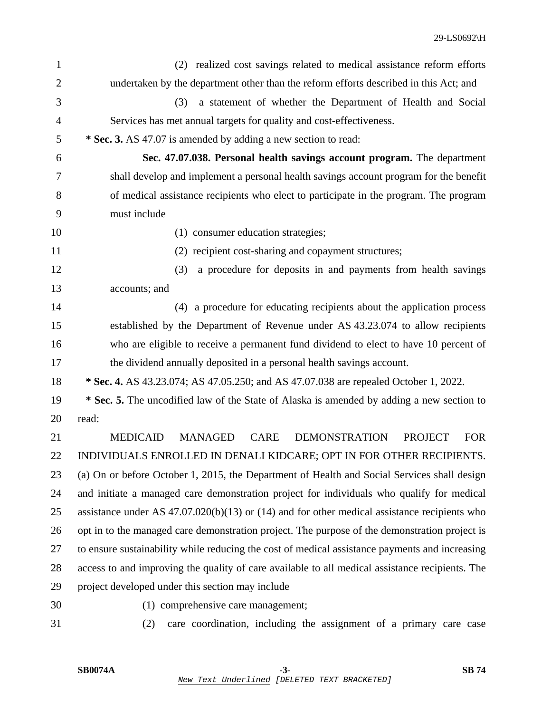| $\mathbf{1}$   | (2) realized cost savings related to medical assistance reform efforts                                   |
|----------------|----------------------------------------------------------------------------------------------------------|
| $\overline{2}$ | undertaken by the department other than the reform efforts described in this Act; and                    |
| 3              | a statement of whether the Department of Health and Social<br>(3)                                        |
| 4              | Services has met annual targets for quality and cost-effectiveness.                                      |
| 5              | * Sec. 3. AS 47.07 is amended by adding a new section to read:                                           |
| 6              | Sec. 47.07.038. Personal health savings account program. The department                                  |
| 7              | shall develop and implement a personal health savings account program for the benefit                    |
| 8              | of medical assistance recipients who elect to participate in the program. The program                    |
| 9              | must include                                                                                             |
| 10             | (1) consumer education strategies;                                                                       |
| 11             | (2) recipient cost-sharing and copayment structures;                                                     |
| 12             | (3)<br>a procedure for deposits in and payments from health savings                                      |
| 13             | accounts; and                                                                                            |
| 14             | (4) a procedure for educating recipients about the application process                                   |
| 15             | established by the Department of Revenue under AS 43.23.074 to allow recipients                          |
| 16             | who are eligible to receive a permanent fund dividend to elect to have 10 percent of                     |
| 17             | the dividend annually deposited in a personal health savings account.                                    |
| 18             | * Sec. 4. AS 43.23.074; AS 47.05.250; and AS 47.07.038 are repealed October 1, 2022.                     |
| 19             | * Sec. 5. The uncodified law of the State of Alaska is amended by adding a new section to                |
| 20             | read:                                                                                                    |
| 21             | <b>MEDICAID</b><br><b>MANAGED</b><br><b>CARE</b><br><b>DEMONSTRATION</b><br><b>PROJECT</b><br><b>FOR</b> |
| 22             | INDIVIDUALS ENROLLED IN DENALI KIDCARE; OPT IN FOR OTHER RECIPIENTS.                                     |
| 23             | (a) On or before October 1, 2015, the Department of Health and Social Services shall design              |
| 24             | and initiate a managed care demonstration project for individuals who qualify for medical                |
| 25             | assistance under AS $47.07.020(b)(13)$ or $(14)$ and for other medical assistance recipients who         |
| 26             | opt in to the managed care demonstration project. The purpose of the demonstration project is            |
| 27             | to ensure sustainability while reducing the cost of medical assistance payments and increasing           |
| 28             | access to and improving the quality of care available to all medical assistance recipients. The          |
| 29             | project developed under this section may include                                                         |
| 30             | (1) comprehensive care management;                                                                       |
| 31             | care coordination, including the assignment of a primary care case<br>(2)                                |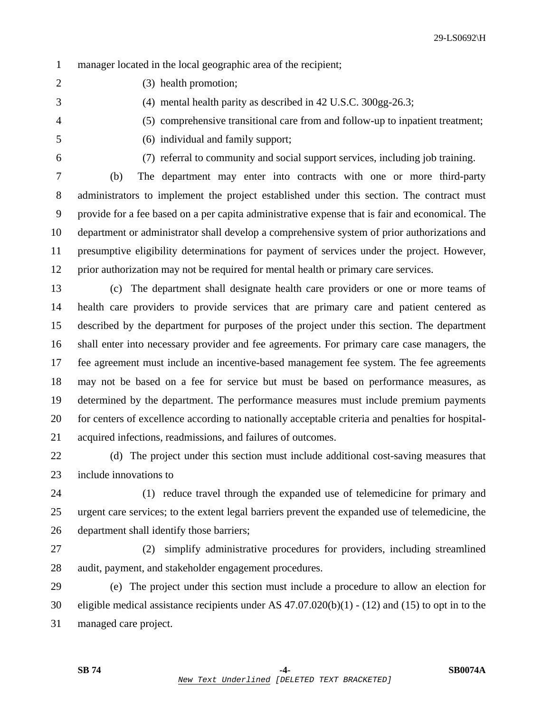1 manager located in the local geographic area of the recipient;

2 (3) health promotion;

3 (4) mental health parity as described in 42 U.S.C. 300gg-26.3;

4 (5) comprehensive transitional care from and follow-up to inpatient treatment;

- 5 (6) individual and family support;
- 

6 (7) referral to community and social support services, including job training.

7 (b) The department may enter into contracts with one or more third-party 8 administrators to implement the project established under this section. The contract must 9 provide for a fee based on a per capita administrative expense that is fair and economical. The 10 department or administrator shall develop a comprehensive system of prior authorizations and 11 presumptive eligibility determinations for payment of services under the project. However, 12 prior authorization may not be required for mental health or primary care services.

13 (c) The department shall designate health care providers or one or more teams of 14 health care providers to provide services that are primary care and patient centered as 15 described by the department for purposes of the project under this section. The department 16 shall enter into necessary provider and fee agreements. For primary care case managers, the 17 fee agreement must include an incentive-based management fee system. The fee agreements 18 may not be based on a fee for service but must be based on performance measures, as 19 determined by the department. The performance measures must include premium payments 20 for centers of excellence according to nationally acceptable criteria and penalties for hospital-21 acquired infections, readmissions, and failures of outcomes.

22 (d) The project under this section must include additional cost-saving measures that 23 include innovations to

24 (1) reduce travel through the expanded use of telemedicine for primary and 25 urgent care services; to the extent legal barriers prevent the expanded use of telemedicine, the 26 department shall identify those barriers;

27 (2) simplify administrative procedures for providers, including streamlined 28 audit, payment, and stakeholder engagement procedures.

29 (e) The project under this section must include a procedure to allow an election for 30 eligible medical assistance recipients under AS 47.07.020(b)(1) - (12) and (15) to opt in to the 31 managed care project.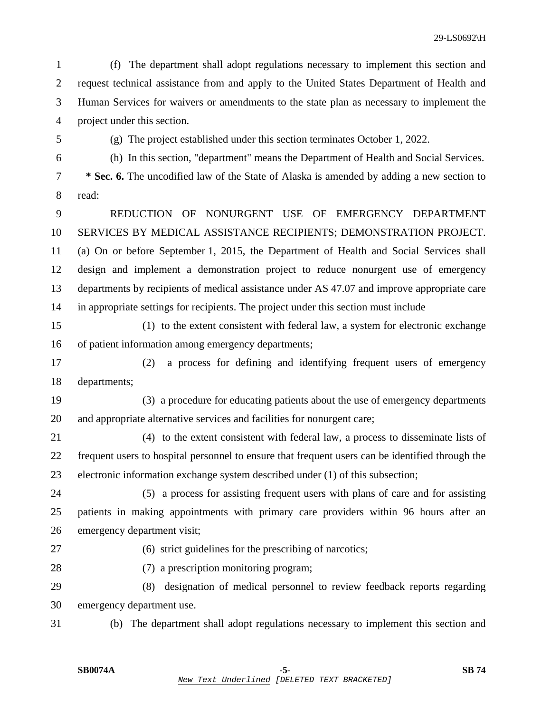1 (f) The department shall adopt regulations necessary to implement this section and 2 request technical assistance from and apply to the United States Department of Health and 3 Human Services for waivers or amendments to the state plan as necessary to implement the 4 project under this section.

5 (g) The project established under this section terminates October 1, 2022.

6 (h) In this section, "department" means the Department of Health and Social Services.

7 **\* Sec. 6.** The uncodified law of the State of Alaska is amended by adding a new section to 8 read:

9 REDUCTION OF NONURGENT USE OF EMERGENCY DEPARTMENT 10 SERVICES BY MEDICAL ASSISTANCE RECIPIENTS; DEMONSTRATION PROJECT. 11 (a) On or before September 1, 2015, the Department of Health and Social Services shall 12 design and implement a demonstration project to reduce nonurgent use of emergency 13 departments by recipients of medical assistance under AS 47.07 and improve appropriate care 14 in appropriate settings for recipients. The project under this section must include

15 (1) to the extent consistent with federal law, a system for electronic exchange 16 of patient information among emergency departments;

17 (2) a process for defining and identifying frequent users of emergency 18 departments;

19 (3) a procedure for educating patients about the use of emergency departments 20 and appropriate alternative services and facilities for nonurgent care;

21 (4) to the extent consistent with federal law, a process to disseminate lists of 22 frequent users to hospital personnel to ensure that frequent users can be identified through the 23 electronic information exchange system described under (1) of this subsection;

24 (5) a process for assisting frequent users with plans of care and for assisting 25 patients in making appointments with primary care providers within 96 hours after an 26 emergency department visit;

27 (6) strict guidelines for the prescribing of narcotics;

28 (7) a prescription monitoring program;

29 (8) designation of medical personnel to review feedback reports regarding 30 emergency department use.

31 (b) The department shall adopt regulations necessary to implement this section and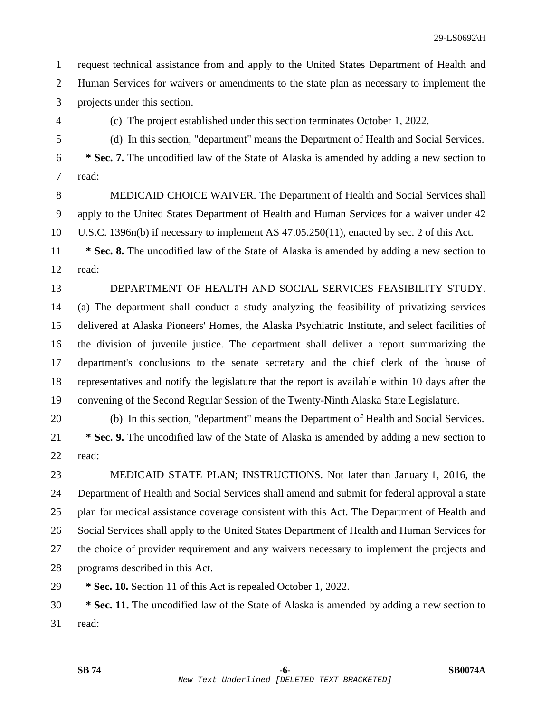1 request technical assistance from and apply to the United States Department of Health and 2 Human Services for waivers or amendments to the state plan as necessary to implement the 3 projects under this section.

4 (c) The project established under this section terminates October 1, 2022.

5 (d) In this section, "department" means the Department of Health and Social Services.

6 **\* Sec. 7.** The uncodified law of the State of Alaska is amended by adding a new section to 7 read:

8 MEDICAID CHOICE WAIVER. The Department of Health and Social Services shall 9 apply to the United States Department of Health and Human Services for a waiver under 42 10 U.S.C. 1396n(b) if necessary to implement AS 47.05.250(11), enacted by sec. 2 of this Act.

11 **\* Sec. 8.** The uncodified law of the State of Alaska is amended by adding a new section to 12 read:

13 DEPARTMENT OF HEALTH AND SOCIAL SERVICES FEASIBILITY STUDY. 14 (a) The department shall conduct a study analyzing the feasibility of privatizing services 15 delivered at Alaska Pioneers' Homes, the Alaska Psychiatric Institute, and select facilities of 16 the division of juvenile justice. The department shall deliver a report summarizing the 17 department's conclusions to the senate secretary and the chief clerk of the house of 18 representatives and notify the legislature that the report is available within 10 days after the

19 convening of the Second Regular Session of the Twenty-Ninth Alaska State Legislature.

20 (b) In this section, "department" means the Department of Health and Social Services.

21 **\* Sec. 9.** The uncodified law of the State of Alaska is amended by adding a new section to 22 read:

23 MEDICAID STATE PLAN; INSTRUCTIONS. Not later than January 1, 2016, the 24 Department of Health and Social Services shall amend and submit for federal approval a state 25 plan for medical assistance coverage consistent with this Act. The Department of Health and 26 Social Services shall apply to the United States Department of Health and Human Services for 27 the choice of provider requirement and any waivers necessary to implement the projects and 28 programs described in this Act.

29 **\* Sec. 10.** Section 11 of this Act is repealed October 1, 2022.

30 **\* Sec. 11.** The uncodified law of the State of Alaska is amended by adding a new section to 31 read: